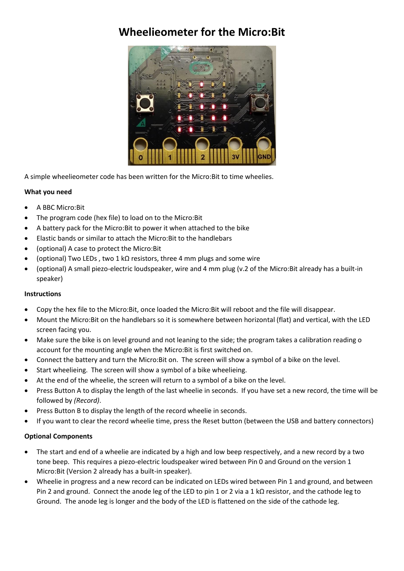# **Wheelieometer for the Micro:Bit**



A simple wheelieometer code has been written for the Micro:Bit to time wheelies.

# **What you need**

- A BBC Micro:Bit
- The program code (hex file) to load on to the Micro:Bit
- A battery pack for the Micro:Bit to power it when attached to the bike
- Elastic bands or similar to attach the Micro:Bit to the handlebars
- (optional) A case to protect the Micro:Bit
- (optional) Two LEDs , two 1 kΩ resistors, three 4 mm plugs and some wire
- (optional) A small piezo-electric loudspeaker, wire and 4 mm plug (v.2 of the Micro:Bit already has a built-in speaker)

#### **Instructions**

- Copy the hex file to the Micro:Bit, once loaded the Micro:Bit will reboot and the file will disappear.
- Mount the Micro:Bit on the handlebars so it is somewhere between horizontal (flat) and vertical, with the LED screen facing you.
- Make sure the bike is on level ground and not leaning to the side; the program takes a calibration reading o account for the mounting angle when the Micro:Bit is first switched on.
- Connect the battery and turn the Micro:Bit on. The screen will show a symbol of a bike on the level.
- Start wheelieing. The screen will show a symbol of a bike wheelieing.
- At the end of the wheelie, the screen will return to a symbol of a bike on the level.
- Press Button A to display the length of the last wheelie in seconds. If you have set a new record, the time will be followed by *(Record)*.
- Press Button B to display the length of the record wheelie in seconds.
- If you want to clear the record wheelie time, press the Reset button (between the USB and battery connectors)

# **Optional Components**

- The start and end of a wheelie are indicated by a high and low beep respectively, and a new record by a two tone beep. This requires a piezo-electric loudspeaker wired between Pin 0 and Ground on the version 1 Micro:Bit (Version 2 already has a built-in speaker).
- Wheelie in progress and a new record can be indicated on LEDs wired between Pin 1 and ground, and between Pin 2 and ground. Connect the anode leg of the LED to pin 1 or 2 via a 1 kΩ resistor, and the cathode leg to Ground. The anode leg is longer and the body of the LED is flattened on the side of the cathode leg.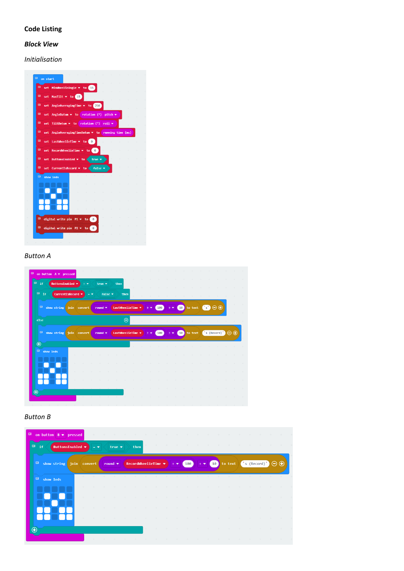# **Code Listing**

# *Block View*

*Initialisation*

|          | set MinWheelieAngle v to 15                            |          |  |  |
|----------|--------------------------------------------------------|----------|--|--|
| 申        | set MaxTilt $\bullet$ to 15                            |          |  |  |
| 申<br>set | AngleAveragingTime $\star$ to 250                      |          |  |  |
| в<br>set | AngleDatum • to rotation (°) pitch •                   |          |  |  |
| 日<br>set | TiltDatum $\bullet$ to rotation (°) roll $\bullet$     |          |  |  |
| Е<br>set | AngleAveragingTimeDatum $\bullet$ to running time (ms) |          |  |  |
| 寧        | set LastWheelieTime • to 0                             |          |  |  |
| 寧        | set RecordWheelieTime $\bullet$ to 0                   |          |  |  |
| ᇢ        | set ButtonsEnabled ▼ to true ▼                         |          |  |  |
| 目        | set CurrentIsRecord • to false •                       |          |  |  |
| 申。       | show leds                                              |          |  |  |
|          |                                                        |          |  |  |
|          |                                                        |          |  |  |
|          |                                                        |          |  |  |
|          |                                                        |          |  |  |
| 目        | digital write pin $P1 \times to 0$                     |          |  |  |
| ᅞ        | digital write pin P2 v to                              | $\theta$ |  |  |
|          |                                                        |          |  |  |

### *Button A*

| $-$ if<br>ButtonsEnabled =                     |              | $=$ $\bullet$ | true $\blacktriangledown$  |                            | then              |                         |      |                                            |                 |                                                                                                                                                                                          |                 |                                   |                               |  |
|------------------------------------------------|--------------|---------------|----------------------------|----------------------------|-------------------|-------------------------|------|--------------------------------------------|-----------------|------------------------------------------------------------------------------------------------------------------------------------------------------------------------------------------|-----------------|-----------------------------------|-------------------------------|--|
| $\blacksquare$ if<br>CurrentIsRecord $\bullet$ |              | $=$ $-$       |                            | false $\blacktriangledown$ | then              | the control of the con- |      |                                            |                 |                                                                                                                                                                                          |                 | <b>Contract Contract Contract</b> | the state of the state of the |  |
| $\Box$ show string join convert                |              |               | round $\bullet$            |                            | LastWheelieTime * |                         |      | $\begin{bmatrix} 100 \end{bmatrix}$<br>中華: |                 | $\div$ 40 to text $\boxed{3}$ $\ominus$ $\oplus$                                                                                                                                         |                 |                                   |                               |  |
| else                                           |              |               |                            |                            | $\Theta$          |                         |      |                                            |                 |                                                                                                                                                                                          |                 |                                   |                               |  |
| $\Box$ show string                             | join convert |               | round $\blacktriangledown$ |                            | LastWheelieTime > |                         | 14 M |                                            |                 | $\begin{pmatrix} 100 \\ 10 \end{pmatrix}$ $\div$ $\begin{pmatrix} 10 \\ 10 \end{pmatrix}$ to text $\begin{pmatrix} 1 \\ 1 \end{pmatrix}$ (Record) $\begin{pmatrix} 1 \\ 1 \end{pmatrix}$ |                 |                                   |                               |  |
| $\bigoplus$                                    |              |               |                            |                            |                   |                         |      |                                            | <b>Contract</b> | <b>Contract Contract</b>                                                                                                                                                                 | <b>Contract</b> | <b>Contract Contract</b>          |                               |  |
| 日<br>show leds                                 |              |               |                            |                            |                   |                         |      |                                            |                 |                                                                                                                                                                                          |                 |                                   |                               |  |
|                                                |              |               |                            |                            |                   |                         |      |                                            |                 |                                                                                                                                                                                          |                 |                                   |                               |  |
|                                                |              |               |                            |                            |                   |                         |      |                                            |                 |                                                                                                                                                                                          |                 |                                   |                               |  |
|                                                |              |               |                            |                            |                   |                         |      |                                            |                 |                                                                                                                                                                                          |                 |                                   |                               |  |
|                                                |              |               |                            |                            |                   |                         |      |                                            |                 |                                                                                                                                                                                          |                 |                                   |                               |  |

#### *Button B*

| <b>同</b> if<br>ButtonsEnabled ▼ |         | $=$ $\bullet$ | true $\blacktriangledown$ |                | then                                       |                                                 |                               |             | the state of the state of the  |                                |                                                                  | the state of the state of the   |                                 | the state of the con- |  |
|---------------------------------|---------|---------------|---------------------------|----------------|--------------------------------------------|-------------------------------------------------|-------------------------------|-------------|--------------------------------|--------------------------------|------------------------------------------------------------------|---------------------------------|---------------------------------|-----------------------|--|
| show string join convert        |         |               | round $\bullet$           |                |                                            | RecordWheelieTime $\bullet$ $\bullet$ $\bullet$ |                               | $\vert$ 100 |                                |                                | $\Rightarrow$ (10) to text ("s (Record)" $\bigoplus$ $\bigoplus$ |                                 |                                 |                       |  |
| $\overline{P}$ show leds        |         |               |                           |                |                                            |                                                 |                               |             |                                |                                |                                                                  |                                 |                                 |                       |  |
|                                 |         |               |                           |                |                                            |                                                 |                               |             |                                |                                |                                                                  | and the control                 | and the second state of         | and the state of      |  |
|                                 | $\pm$ . |               |                           | the company of |                                            | and the control of                              |                               |             | the property of the control of | the property of the control of |                                                                  | the property of the property of | the property of the property of |                       |  |
|                                 | $+$     |               |                           |                |                                            | $+$                                             | $+$                           |             |                                |                                |                                                                  |                                 |                                 |                       |  |
|                                 | $\pm$ . |               |                           |                | the state of the state of the state of the |                                                 | the state of the state of the |             | the property of the control of | and the state of               |                                                                  |                                 |                                 |                       |  |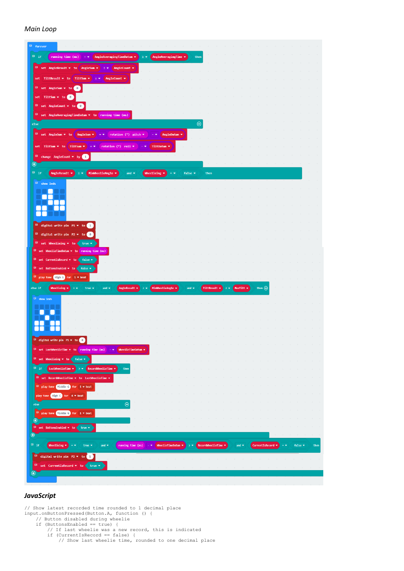#### *Main Loop*



#### *JavaScript*

// Show latest recorded time rounded to 1 decimal place input.onButtonPressed(Button.A, function () { // Button disabled during wheelie if (ButtonsEnabled == true) { // If last wheelie was a new record, this is indicated if (CurrentIsRecord == false) { // Show last wheelie time, rounded to one decimal place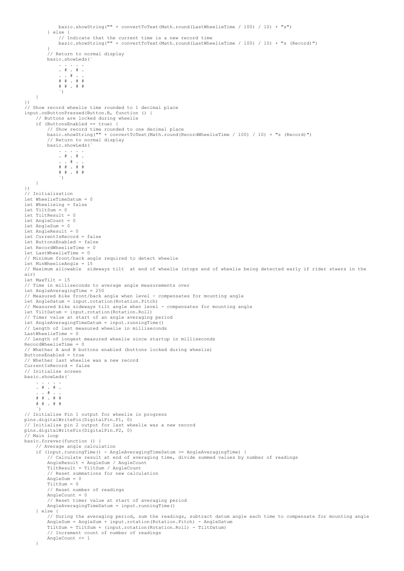```
 basic.showString("" + convertToText(Math.round(LastWheelieTime / 100) / 10) + "s")
          } else {
               // Indicate that the current time is a new record time
               basic.showString("" + convertToText(Math.round(LastWheelieTime / 100) / 10) + "s (Record)")
 }
           // Return to normal display
          basic.showLeds(`
 . . . . .
 . # . # .
 . . # . .
 # # . # #
              \frac{1}{2} \frac{1}{2} \frac{1}{2} \frac{1}{2} \frac{1}{2} \frac{1}{2} \frac{1}{2} \frac{1}{2} \frac{1}{2} \frac{1}{2} \frac{1}{2} \frac{1}{2} \frac{1}{2} \frac{1}{2} \frac{1}{2} \frac{1}{2} \frac{1}{2} \frac{1}{2} \frac{1}{2} \frac{1}{2} \frac{1}{2} \frac{1}{2} \left( \begin{array}{c} \cdot \cdot \cdot \cdot \end{array} \right) }
})
// Show record wheelie time rounded to 1 decimal place
input.onButtonPressed(Button.B, function () {
      // Buttons are locked during wheelie
      if (ButtonsEnabled == true) {
          // Show record time rounded to one decimal place
          basic.showString("" + convertToText(Math.round(RecordWheelieTime / 100) / 10) + "s (Record)")
          // Return to normal display
          basic.showLeds(`
               . . . . .
               . # . # .
                . \# .
              \begin{array}{cccccccccccccc} \# & \# & \# & \ldots & \# & \# \end{array} # # . # #
\left( \begin{array}{c} \cdot \cdot \cdot \cdot \end{array} \right) }
})
// Initialisation
let WheelieTimeDatum = 0
let Wheelieing = false
let TiltSum = 0let TiltResult = 0
let AngleCount = 0let AngleSum = 0
let AngleResult = 0
let CurrentIsRecord = false
let ButtonsEnabled = false
let RecordWheelieTime = 0
let LastWheelieTime = 0
// Minimum front/back angle required to detect wheelie
let MinWheelieAngle = 15
// Maximum allowable sideways tilt at end of wheelie (stops end of wheelie being detected early if rider steers in the 
air)
let MaxTilt = 15
// Time in milliseconds to average angle measurements over
let AngleAveragingTime = 250
// Measured bike front/back angle when level - compensates for mounting angle
let AngleDatum = input.rotation(Rotation.Pitch)
// Measured bike sideways tilt angle when level - compensates for mounting angle
let TiltDatum = input.rotation(Rotation.Roll)
// Timer value at start of an angle averaging period
let AngleAveragingTimeDatum = input.runningTime()
// Length of last measured wheelie in milliseconds
LastWheelieTime = 0
// Length of longest measured wheelie since startup in milliseconds
RecordWheelieTime = 0
// Whether A and B buttons enabled (buttons locked during wheelie)
ButtonsEnabled = true
// Whether last wheelie was a new record
CurrentIsRecord = false
// Initialise screen
basic.showLeds(`
     . . . . .
\begin{array}{cccccccccccc}\n\cdot & & \# & & \# & & \# & \circ \\
\cdot & & & \# & & \# & & \bullet\n\end{array} # # . # #
     # # . # #
\rightarrow// Initialise Pin 1 output for wheelie in progress
pins.digitalWritePin(DigitalPin.P1, 0)
// Initialise pin 2 output for last wheelie was a new record
pins.digitalWritePin(DigitalPin.P2, 0)
.<br>// Main loop
basic.forever(function () {
      // Average angle calculation
      if (input.runningTime() - AngleAveragingTimeDatum >= AngleAveragingTime) {
           // Calculate result at end of averaging time, divide summed values by number of readings
          AngleResult = AngleSum / AngleCount
          TiltResult = TiltSum / AngleCount
          // Reset summations for new calculation
          AngleSum = 0
         T\sin x = 0 // Reset number of readings
         AngleCount = 0
           // Reset timer value at start of averaging period
          AngleAveragingTimeDatum = input.runningTime()
 } else {
 // During the averaging period, sum the readings, subtract datum angle each time to compensate for mounting angle
 AngleSum = AngleSum + input.rotation(Rotation.Pitch) - AngleDatum
          TiltSum = TiltSum + (input.rotation(Rotation.Roll) - TiltDatum)
          // Increment count of number of readings
          AngleCount += 1
      }
```